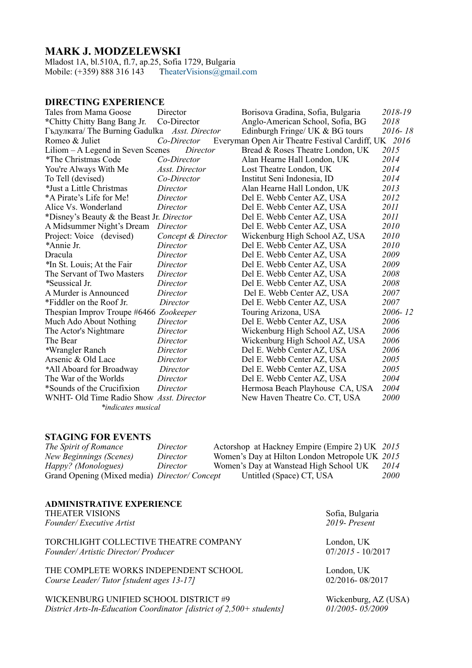# **MARK J. MODZELEWSKI**

Mladost 1A, bl.510A, fl.7, ap.25, Sofia 1729, Bulgaria Mobile: (+359) 888 316 143 TheaterVisions@gmail.com

## **DIRECTING EXPERIENCE**

| Tales from Mama Goose                                                                | Director           | Borisova Gradina, Sofia, Bulgaria | 2018-19 |
|--------------------------------------------------------------------------------------|--------------------|-----------------------------------|---------|
| *Chitty Chitty Bang Bang Jr.                                                         | Co-Director        | Anglo-American School, Sofia, BG  | 2018    |
| Гъдулката/ The Burning Gadulka Asst. Director                                        |                    | Edinburgh Fringe/ UK & BG tours   | 2016-18 |
| Everyman Open Air Theatre Festival Cardiff, UK 2016<br>Romeo & Juliet<br>Co-Director |                    |                                   |         |
| Liliom - A Legend in Seven Scenes<br>Director<br>Bread & Roses Theatre London, UK    |                    |                                   | 2015    |
| *The Christmas Code                                                                  | Co-Director        | Alan Hearne Hall London, UK       | 2014    |
| You're Always With Me                                                                | Asst. Director     | Lost Theatre London, UK           | 2014    |
| To Tell (devised)                                                                    | Co-Director        | Institut Seni Indonesia, ID       | 2014    |
| *Just a Little Christmas                                                             | Director           | Alan Hearne Hall London, UK       | 2013    |
| *A Pirate's Life for Me!                                                             | Director           | Del E. Webb Center AZ, USA        | 2012    |
| Alice Vs. Wonderland                                                                 | Director           | Del E. Webb Center AZ, USA        | 2011    |
| *Disney's Beauty & the Beast Jr. Director                                            |                    | Del E. Webb Center AZ, USA        | 2011    |
| A Midsummer Night's Dream                                                            | Director           | Del E. Webb Center AZ, USA        | 2010    |
| Project: Voice (devised)                                                             | Concept & Director | Wickenburg High School AZ, USA    | 2010    |
| *Annie Jr.                                                                           | Director           | Del E. Webb Center AZ, USA        | 2010    |
| Dracula                                                                              | Director           | Del E. Webb Center AZ, USA        | 2009    |
| *In St. Louis; At the Fair                                                           | Director           | Del E. Webb Center AZ, USA        | 2009    |
| The Servant of Two Masters                                                           | Director           | Del E. Webb Center AZ, USA        | 2008    |
| *Seussical Jr.                                                                       | Director           | Del E. Webb Center AZ, USA        | 2008    |
| A Murder is Announced                                                                | Director           | Del E. Webb Center AZ, USA        | 2007    |
| *Fiddler on the Roof Jr.                                                             | Director           | Del E. Webb Center AZ, USA        | 2007    |
| Thespian Improv Troupe #6466 Zookeeper                                               |                    | Touring Arizona, USA              | 2006-12 |
| Much Ado About Nothing                                                               | Director           | Del E. Webb Center AZ, USA        | 2006    |
| The Actor's Nightmare                                                                | Director           | Wickenburg High School AZ, USA    | 2006    |
| The Bear                                                                             | Director           | Wickenburg High School AZ, USA    | 2006    |
| *Wrangler Ranch                                                                      | Director           | Del E. Webb Center AZ, USA        | 2006    |
| Arsenic & Old Lace                                                                   | Director           | Del E. Webb Center AZ, USA        | 2005    |
| *All Aboard for Broadway                                                             | Director           | Del E. Webb Center AZ, USA        | 2005    |
| The War of the Worlds                                                                | Director           | Del E. Webb Center AZ, USA        | 2004    |
| *Sounds of the Crucifixion                                                           | Director           | Hermosa Beach Playhouse CA, USA   | 2004    |
| WNHT- Old Time Radio Show Asst. Director                                             |                    | New Haven Theatre Co. CT, USA     | 2000    |
| *indicates musical                                                                   |                    |                                   |         |

### **STAGING FOR EVENTS**

| The Spirit of Romance                        | Director | Actorshop at Hackney Empire (Empire 2) UK 2015 |      |
|----------------------------------------------|----------|------------------------------------------------|------|
| New Beginnings (Scenes)                      | Director | Women's Day at Hilton London Metropole UK 2015 |      |
| Happy? (Monologues)                          | Director | Women's Day at Wanstead High School UK         | 2014 |
| Grand Opening (Mixed media) Director/Concept |          | Untitled (Space) CT, USA                       | 2000 |

| <b>ADMINISTRATIVE EXPERIENCE</b>          |                                                                  |
|-------------------------------------------|------------------------------------------------------------------|
| <b>THEATER VISIONS</b>                    | Sofia, Bulgaria                                                  |
| Founder/Executive Artist                  | 2019-Present                                                     |
| TORCHLIGHT COLLECTIVE THEATRE COMPANY     | London, UK                                                       |
| Founder/ Artistic Director/ Producer      | $07/2015 - 10/2017$                                              |
| THE COMPLETE WORKS INDEPENDENT SCHOOL     | London, UK                                                       |
| Course Leader/Tutor [student ages 13-17]  | 02/2016-08/2017                                                  |
| WILCLEBED ID C IBJERED GOUOOL DIGTBLOT 40 | $\mathbf{W}$ . 1. 1. $\mathbf{A}$ $\mathbf{Z}$ (TIC $\mathbf{A}$ |

WICKENBURG UNIFIED SCHOOL DISTRICT #9 Wickenburg, AZ (USA)<br>District Arts-In-Education Coordinator [district of 2,500+ students] 01/2005-05/2009 *District Arts-In-Education Coordinator [district of 2,500+ students]*